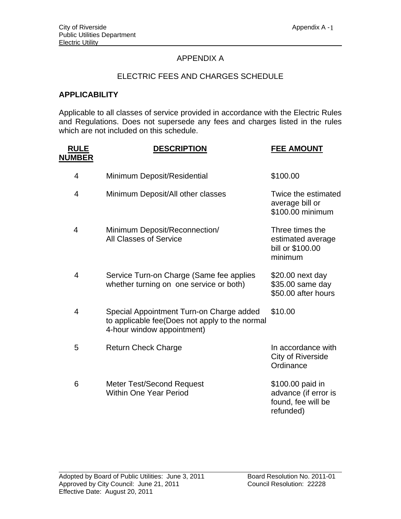## APPENDIX A

## ELECTRIC FEES AND CHARGES SCHEDULE

## **APPLICABILITY**

Applicable to all classes of service provided in accordance with the Electric Rules and Regulations. Does not supersede any fees and charges listed in the rules which are not included on this schedule.

| <b>RULE</b><br><b>NUMBER</b> | <b>DESCRIPTION</b>                                                                                                       | <b>FEE AMOUNT</b>                                                           |
|------------------------------|--------------------------------------------------------------------------------------------------------------------------|-----------------------------------------------------------------------------|
| 4                            | Minimum Deposit/Residential                                                                                              | \$100.00                                                                    |
| $\overline{4}$               | Minimum Deposit/All other classes                                                                                        | Twice the estimated<br>average bill or<br>\$100.00 minimum                  |
| 4                            | Minimum Deposit/Reconnection/<br><b>All Classes of Service</b>                                                           | Three times the<br>estimated average<br>bill or \$100.00<br>minimum         |
| $\overline{4}$               | Service Turn-on Charge (Same fee applies<br>whether turning on one service or both)                                      | \$20.00 next day<br>\$35.00 same day<br>\$50.00 after hours                 |
| $\overline{4}$               | Special Appointment Turn-on Charge added<br>to applicable fee(Does not apply to the normal<br>4-hour window appointment) | \$10.00                                                                     |
| 5                            | <b>Return Check Charge</b>                                                                                               | In accordance with<br><b>City of Riverside</b><br>Ordinance                 |
| 6                            | <b>Meter Test/Second Request</b><br><b>Within One Year Period</b>                                                        | \$100.00 paid in<br>advance (if error is<br>found, fee will be<br>refunded) |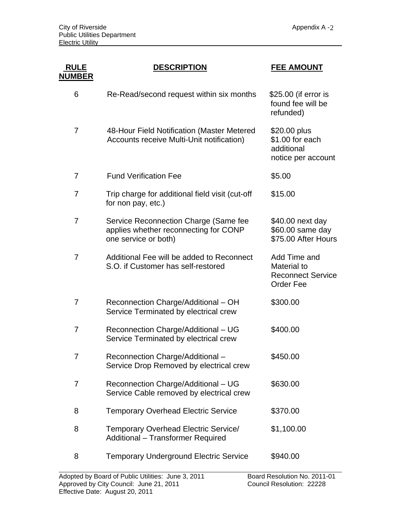| <b>RULE</b><br><u>NUMBER</u> | <b>DESCRIPTION</b>                                                                                     | <b>FEE AMOUNT</b>                                                           |
|------------------------------|--------------------------------------------------------------------------------------------------------|-----------------------------------------------------------------------------|
| 6                            | Re-Read/second request within six months                                                               | \$25.00 (if error is<br>found fee will be<br>refunded)                      |
| 7                            | 48-Hour Field Notification (Master Metered<br>Accounts receive Multi-Unit notification)                | \$20.00 plus<br>\$1.00 for each<br>additional<br>notice per account         |
| 7                            | <b>Fund Verification Fee</b>                                                                           | \$5.00                                                                      |
| $\overline{7}$               | Trip charge for additional field visit (cut-off<br>for non pay, etc.)                                  | \$15.00                                                                     |
| $\overline{7}$               | Service Reconnection Charge (Same fee<br>applies whether reconnecting for CONP<br>one service or both) | \$40.00 next day<br>\$60.00 same day<br>\$75.00 After Hours                 |
| $\overline{7}$               | Additional Fee will be added to Reconnect<br>S.O. if Customer has self-restored                        | Add Time and<br>Material to<br><b>Reconnect Service</b><br><b>Order Fee</b> |
| 7                            | Reconnection Charge/Additional - OH<br>Service Terminated by electrical crew                           | \$300.00                                                                    |
| $\overline{7}$               | Reconnection Charge/Additional - UG<br>Service Terminated by electrical crew                           | \$400.00                                                                    |
| 7                            | Reconnection Charge/Additional-<br>Service Drop Removed by electrical crew                             | \$450.00                                                                    |
| 7                            | Reconnection Charge/Additional - UG<br>Service Cable removed by electrical crew                        | \$630.00                                                                    |
| 8                            | <b>Temporary Overhead Electric Service</b>                                                             | \$370.00                                                                    |
| 8                            | <b>Temporary Overhead Electric Service/</b><br>Additional - Transformer Required                       | \$1,100.00                                                                  |
| 8                            | <b>Temporary Underground Electric Service</b>                                                          | \$940.00                                                                    |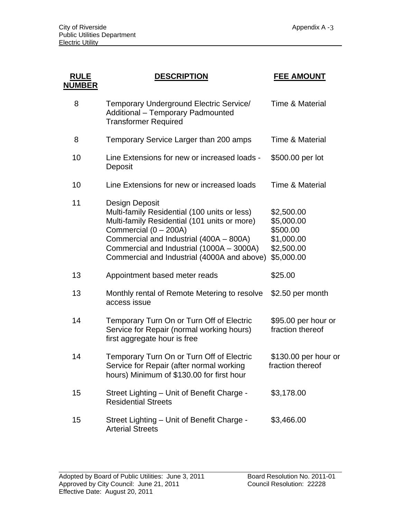| <b>RULE</b><br><b>NUMBER</b> | <b>DESCRIPTION</b>                                                                                                                                                                                                                                                             | <b>FEE AMOUNT</b>                                                              |
|------------------------------|--------------------------------------------------------------------------------------------------------------------------------------------------------------------------------------------------------------------------------------------------------------------------------|--------------------------------------------------------------------------------|
| 8                            | Temporary Underground Electric Service/<br><b>Additional - Temporary Padmounted</b><br><b>Transformer Required</b>                                                                                                                                                             | Time & Material                                                                |
| 8                            | Temporary Service Larger than 200 amps                                                                                                                                                                                                                                         | <b>Time &amp; Material</b>                                                     |
| 10                           | Line Extensions for new or increased loads -<br>Deposit                                                                                                                                                                                                                        | \$500.00 per lot                                                               |
| 10                           | Line Extensions for new or increased loads                                                                                                                                                                                                                                     | <b>Time &amp; Material</b>                                                     |
| 11                           | Design Deposit<br>Multi-family Residential (100 units or less)<br>Multi-family Residential (101 units or more)<br>Commercial (0 - 200A)<br>Commercial and Industrial (400A - 800A)<br>Commercial and Industrial (1000A - 3000A)<br>Commercial and Industrial (4000A and above) | \$2,500.00<br>\$5,000.00<br>\$500.00<br>\$1,000.00<br>\$2,500.00<br>\$5,000.00 |
| 13                           | Appointment based meter reads                                                                                                                                                                                                                                                  | \$25.00                                                                        |
| 13                           | Monthly rental of Remote Metering to resolve<br>access issue                                                                                                                                                                                                                   | \$2.50 per month                                                               |
| 14                           | Temporary Turn On or Turn Off of Electric<br>Service for Repair (normal working hours)<br>first aggregate hour is free                                                                                                                                                         | \$95.00 per hour or<br>fraction thereof                                        |
| 14                           | Temporary Turn On or Turn Off of Electric<br>Service for Repair (after normal working<br>hours) Minimum of \$130.00 for first hour                                                                                                                                             | \$130.00 per hour or<br>fraction thereof                                       |
| 15                           | Street Lighting - Unit of Benefit Charge -<br><b>Residential Streets</b>                                                                                                                                                                                                       | \$3,178.00                                                                     |
| 15                           | Street Lighting - Unit of Benefit Charge -<br><b>Arterial Streets</b>                                                                                                                                                                                                          | \$3,466.00                                                                     |

l